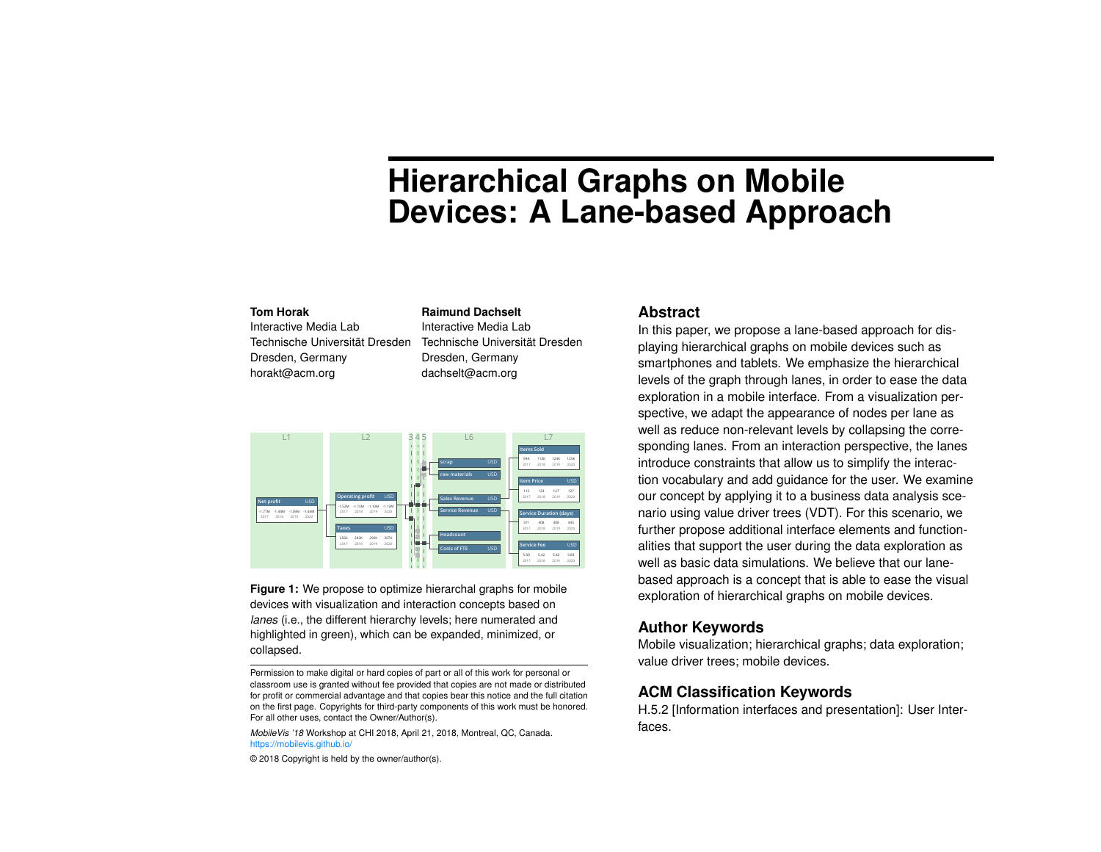# **Hierarchical Graphs on Mobile Devices: A Lane-based Approach**

#### **Tom Horak**

Interactive Media Lab Technische Universität Dresden Dresden, Germany horakt@acm.org

**Raimund Dachselt** Interactive Media Lab Technische Universität Dresden Dresden, Germany dachselt@acm.org



<span id="page-0-0"></span>**Figure 1:** We propose to optimize hierarchal graphs for mobile devices with visualization and interaction concepts based on *lanes* (i.e., the different hierarchy levels; here numerated and highlighted in green), which can be expanded, minimized, or collapsed.

*MobileVis '18* Workshop at CHI 2018, April 21, 2018, Montreal, QC, Canada. <https://mobilevis.github.io/>

© 2018 Copyright is held by the owner/author(s).

#### **Abstract**

In this paper, we propose a lane-based approach for displaying hierarchical graphs on mobile devices such as smartphones and tablets. We emphasize the hierarchical levels of the graph through lanes, in order to ease the data exploration in a mobile interface. From a visualization perspective, we adapt the appearance of nodes per lane as well as reduce non-relevant levels by collapsing the corresponding lanes. From an interaction perspective, the lanes introduce constraints that allow us to simplify the interaction vocabulary and add guidance for the user. We examine our concept by applying it to a business data analysis scenario using value driver trees (VDT). For this scenario, we further propose additional interface elements and functionalities that support the user during the data exploration as well as basic data simulations. We believe that our lanebased approach is a concept that is able to ease the visual exploration of hierarchical graphs on mobile devices.

## **Author Keywords**

Mobile visualization; hierarchical graphs; data exploration; value driver trees; mobile devices.

## **ACM Classification Keywords**

H.5.2 [Information interfaces and presentation]: User Interfaces.

Permission to make digital or hard copies of part or all of this work for personal or classroom use is granted without fee provided that copies are not made or distributed for profit or commercial advantage and that copies bear this notice and the full citation on the first page. Copyrights for third-party components of this work must be honored. For all other uses, contact the Owner/Author(s).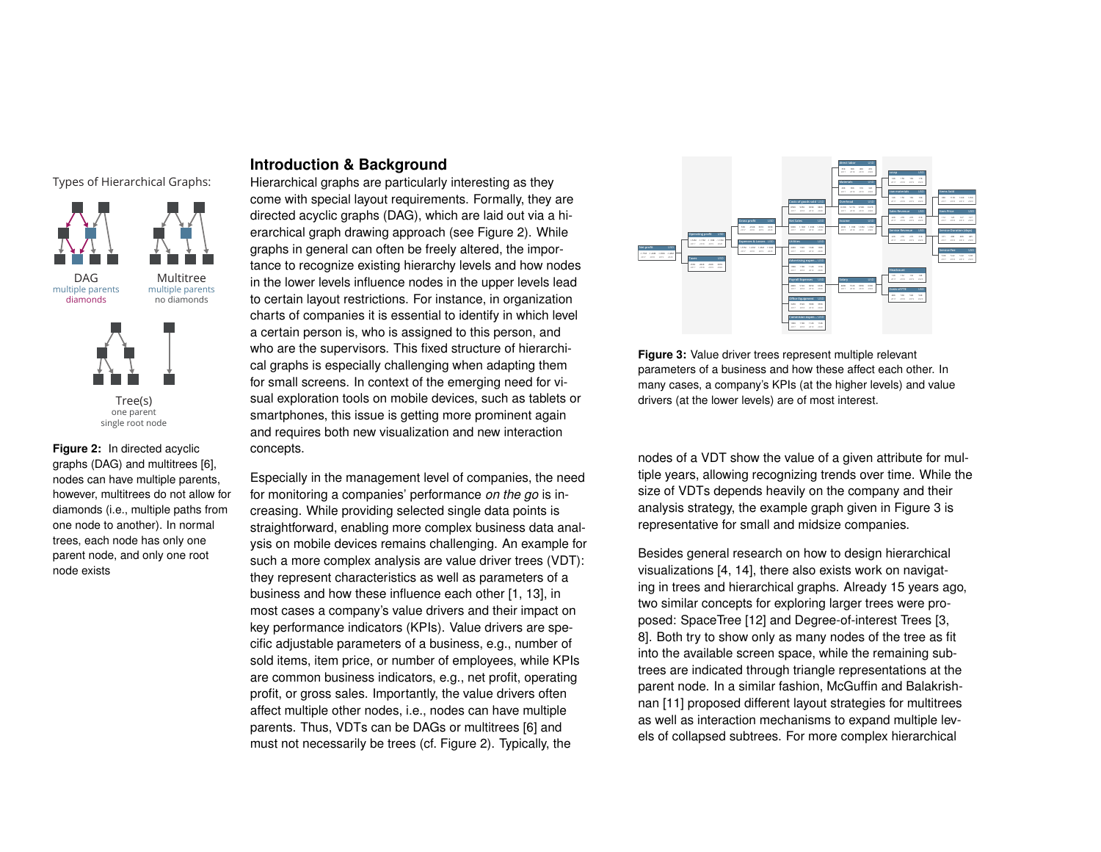Types of Hierarchical Graphs:



<span id="page-1-0"></span>**Figure 2:** In directed acyclic graphs (DAG) and multitrees [\[6\]](#page-5-0), nodes can have multiple parents, however, multitrees do not allow for diamonds (i.e., multiple paths from one node to another). In normal trees, each node has only one parent node, and only one root node exists

## **Introduction & Background**

Hierarchical graphs are particularly interesting as they come with special layout requirements. Formally, they are directed acyclic graphs (DAG), which are laid out via a hierarchical graph drawing approach (see [Figure 2\)](#page-1-0). While graphs in general can often be freely altered, the importance to recognize existing hierarchy levels and how nodes in the lower levels influence nodes in the upper levels lead to certain layout restrictions. For instance, in organization charts of companies it is essential to identify in which level a certain person is, who is assigned to this person, and who are the supervisors. This fixed structure of hierarchical graphs is especially challenging when adapting them for small screens. In context of the emerging need for visual exploration tools on mobile devices, such as tablets or smartphones, this issue is getting more prominent again and requires both new visualization and new interaction concepts.

Especially in the management level of companies, the need for monitoring a companies' performance *on the go* is increasing. While providing selected single data points is straightforward, enabling more complex business data analysis on mobile devices remains challenging. An example for such a more complex analysis are value driver trees (VDT): they represent characteristics as well as parameters of a business and how these influence each other [\[1,](#page-5-1) [13\]](#page-6-0), in most cases a company's value drivers and their impact on key performance indicators (KPIs). Value drivers are specific adjustable parameters of a business, e.g., number of sold items, item price, or number of employees, while KPIs are common business indicators, e.g., net profit, operating profit, or gross sales. Importantly, the value drivers often affect multiple other nodes, i.e., nodes can have multiple parents. Thus, VDTs can be DAGs or multitrees [\[6\]](#page-5-0) and must not necessarily be trees (cf. [Figure 2\)](#page-1-0). Typically, the

<span id="page-1-1"></span>

**Figure 3:** Value driver trees represent multiple relevant parameters of a business and how these affect each other. In many cases, a company's KPIs (at the higher levels) and value drivers (at the lower levels) are of most interest.

nodes of a VDT show the value of a given attribute for multiple years, allowing recognizing trends over time. While the size of VDTs depends heavily on the company and their analysis strategy, the example graph given in [Figure 3](#page-1-1) is representative for small and midsize companies.

Besides general research on how to design hierarchical visualizations [\[4,](#page-5-2) [14\]](#page-6-1), there also exists work on navigating in trees and hierarchical graphs. Already 15 years ago, two similar concepts for exploring larger trees were proposed: SpaceTree [\[12\]](#page-6-2) and Degree-of-interest Trees [\[3,](#page-5-3) [8\]](#page-5-4). Both try to show only as many nodes of the tree as fit into the available screen space, while the remaining subtrees are indicated through triangle representations at the parent node. In a similar fashion, McGuffin and Balakrishnan [\[11\]](#page-6-3) proposed different layout strategies for multitrees as well as interaction mechanisms to expand multiple levels of collapsed subtrees. For more complex hierarchical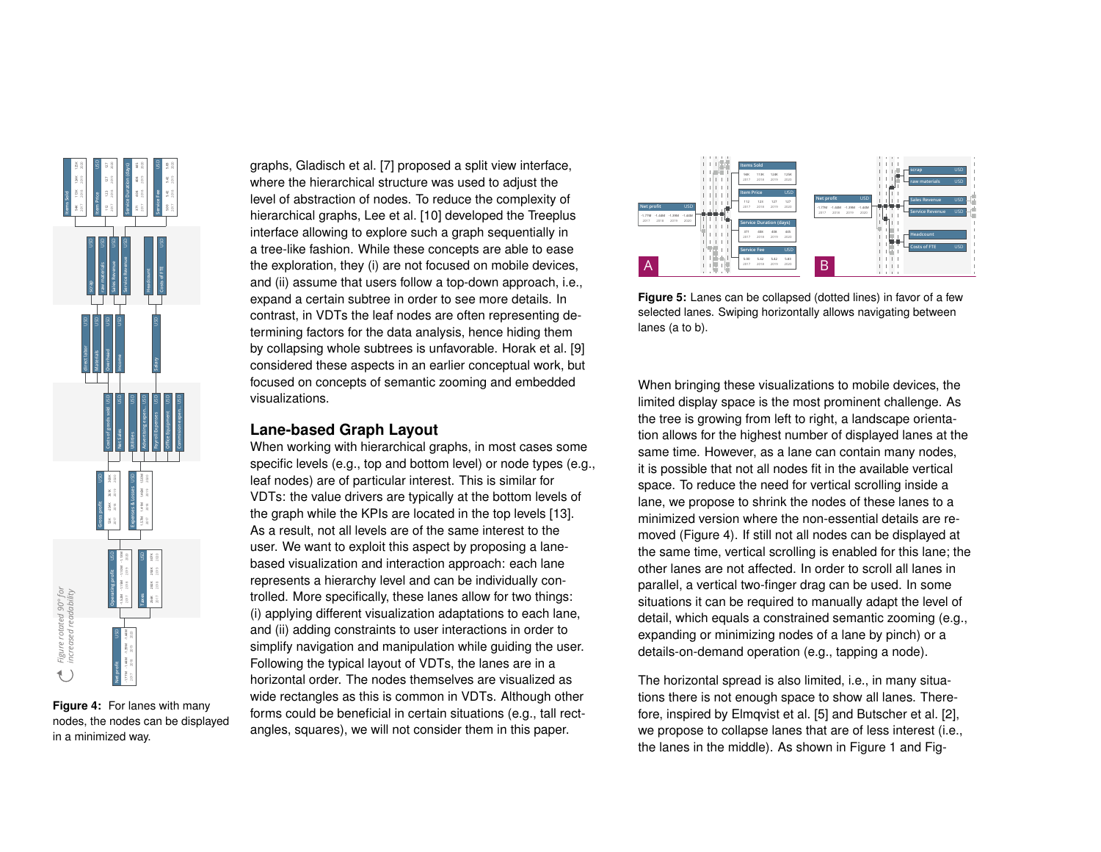

<span id="page-2-0"></span>**Figure 4:** For lanes with many nodes, the nodes can be displayed in a minimized way.

graphs, Gladisch et al. [\[7\]](#page-5-5) proposed a split view interface, where the hierarchical structure was used to adjust the level of abstraction of nodes. To reduce the complexity of hierarchical graphs, Lee et al. [\[10\]](#page-6-4) developed the Treeplus interface allowing to explore such a graph sequentially in a tree-like fashion. While these concepts are able to ease the exploration, they (i) are not focused on mobile devices, and (ii) assume that users follow a top-down approach, i.e., expand a certain subtree in order to see more details. In contrast, in VDTs the leaf nodes are often representing determining factors for the data analysis, hence hiding them by collapsing whole subtrees is unfavorable. Horak et al. [\[9\]](#page-6-5) considered these aspects in an earlier conceptual work, but focused on concepts of semantic zooming and embedded visualizations.

#### **Lane-based Graph Layout**

When working with hierarchical graphs, in most cases some specific levels (e.g., top and bottom level) or node types (e.g., leaf nodes) are of particular interest. This is similar for VDTs: the value drivers are typically at the bottom levels of the graph while the KPIs are located in the top levels [\[13\]](#page-6-0). As a result, not all levels are of the same interest to the user. We want to exploit this aspect by proposing a lanebased visualization and interaction approach: each lane represents a hierarchy level and can be individually controlled. More specifically, these lanes allow for two things: (i) applying different visualization adaptations to each lane, and (ii) adding constraints to user interactions in order to simplify navigation and manipulation while guiding the user. Following the typical layout of VDTs, the lanes are in a horizontal order. The nodes themselves are visualized as wide rectangles as this is common in VDTs. Although other forms could be beneficial in certain situations (e.g., tall rectangles, squares), we will not consider them in this paper.

<span id="page-2-1"></span>

**Figure 5:** Lanes can be collapsed (dotted lines) in favor of a few selected lanes. Swiping horizontally allows navigating between lanes (a to b).

When bringing these visualizations to mobile devices, the limited display space is the most prominent challenge. As the tree is growing from left to right, a landscape orientation allows for the highest number of displayed lanes at the same time. However, as a lane can contain many nodes, it is possible that not all nodes fit in the available vertical space. To reduce the need for vertical scrolling inside a lane, we propose to shrink the nodes of these lanes to a minimized version where the non-essential details are removed [\(Figure 4\)](#page-2-0). If still not all nodes can be displayed at the same time, vertical scrolling is enabled for this lane; the other lanes are not affected. In order to scroll all lanes in parallel, a vertical two-finger drag can be used. In some situations it can be required to manually adapt the level of detail, which equals a constrained semantic zooming (e.g., expanding or minimizing nodes of a lane by pinch) or a details-on-demand operation (e.g., tapping a node).

The horizontal spread is also limited, i.e., in many situations there is not enough space to show all lanes. Therefore, inspired by Elmqvist et al. [\[5\]](#page-5-6) and Butscher et al. [\[2\]](#page-5-7), we propose to collapse lanes that are of less interest (i.e., the lanes in the middle). As shown in [Figure 1](#page-0-0) and [Fig-](#page-2-1)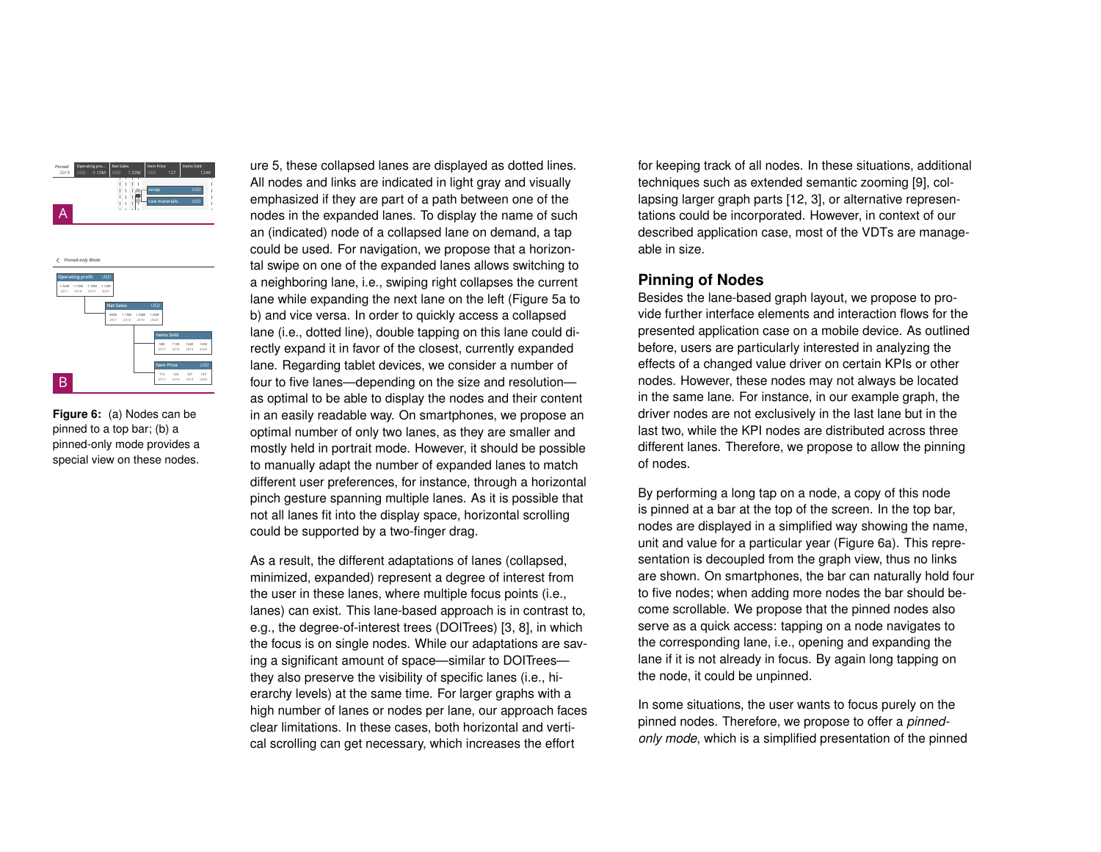



<span id="page-3-0"></span>**Figure 6:** (a) Nodes can be pinned to a top bar; (b) a pinned-only mode provides a special view on these nodes.

[ure 5,](#page-2-1) these collapsed lanes are displayed as dotted lines. All nodes and links are indicated in light gray and visually emphasized if they are part of a path between one of the nodes in the expanded lanes. To display the name of such an (indicated) node of a collapsed lane on demand, a tap could be used. For navigation, we propose that a horizontal swipe on one of the expanded lanes allows switching to a neighboring lane, i.e., swiping right collapses the current lane while expanding the next lane on the left [\(Figure 5a](#page-2-1) to b) and vice versa. In order to quickly access a collapsed lane (i.e., dotted line), double tapping on this lane could directly expand it in favor of the closest, currently expanded lane. Regarding tablet devices, we consider a number of four to five lanes—depending on the size and resolution as optimal to be able to display the nodes and their content in an easily readable way. On smartphones, we propose an optimal number of only two lanes, as they are smaller and mostly held in portrait mode. However, it should be possible to manually adapt the number of expanded lanes to match different user preferences, for instance, through a horizontal pinch gesture spanning multiple lanes. As it is possible that not all lanes fit into the display space, horizontal scrolling could be supported by a two-finger drag.

As a result, the different adaptations of lanes (collapsed, minimized, expanded) represent a degree of interest from the user in these lanes, where multiple focus points (i.e., lanes) can exist. This lane-based approach is in contrast to, e.g., the degree-of-interest trees (DOITrees) [\[3,](#page-5-3) [8\]](#page-5-4), in which the focus is on single nodes. While our adaptations are saving a significant amount of space—similar to DOITrees they also preserve the visibility of specific lanes (i.e., hierarchy levels) at the same time. For larger graphs with a high number of lanes or nodes per lane, our approach faces clear limitations. In these cases, both horizontal and vertical scrolling can get necessary, which increases the effort

for keeping track of all nodes. In these situations, additional techniques such as extended semantic zooming [\[9\]](#page-6-5), collapsing larger graph parts [\[12,](#page-6-2) [3\]](#page-5-3), or alternative representations could be incorporated. However, in context of our described application case, most of the VDTs are manageable in size.

#### **Pinning of Nodes**

Besides the lane-based graph layout, we propose to provide further interface elements and interaction flows for the presented application case on a mobile device. As outlined before, users are particularly interested in analyzing the effects of a changed value driver on certain KPIs or other nodes. However, these nodes may not always be located in the same lane. For instance, in our example graph, the driver nodes are not exclusively in the last lane but in the last two, while the KPI nodes are distributed across three different lanes. Therefore, we propose to allow the pinning of nodes.

By performing a long tap on a node, a copy of this node is pinned at a bar at the top of the screen. In the top bar, nodes are displayed in a simplified way showing the name, unit and value for a particular year [\(Figure 6a](#page-3-0)). This representation is decoupled from the graph view, thus no links are shown. On smartphones, the bar can naturally hold four to five nodes; when adding more nodes the bar should become scrollable. We propose that the pinned nodes also serve as a quick access: tapping on a node navigates to the corresponding lane, i.e., opening and expanding the lane if it is not already in focus. By again long tapping on the node, it could be unpinned.

In some situations, the user wants to focus purely on the pinned nodes. Therefore, we propose to offer a *pinnedonly mode*, which is a simplified presentation of the pinned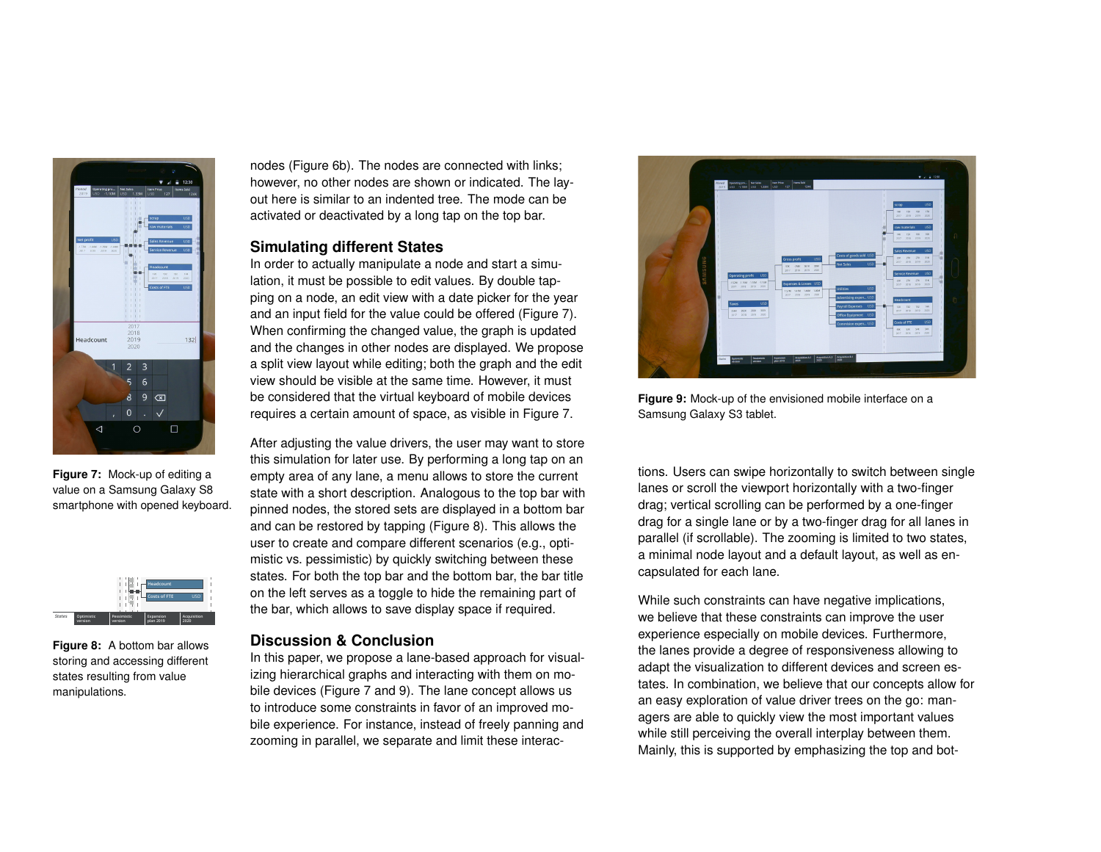

**Figure 7:** Mock-up of editing a value on a Samsung Galaxy S8 smartphone with opened keyboard.

<span id="page-4-0"></span>

<span id="page-4-1"></span>**Figure 8:** A bottom bar allows storing and accessing different states resulting from value manipulations.

nodes [\(Figure 6b](#page-3-0)). The nodes are connected with links; however, no other nodes are shown or indicated. The layout here is similar to an indented tree. The mode can be activated or deactivated by a long tap on the top bar.

## **Simulating different States**

In order to actually manipulate a node and start a simulation, it must be possible to edit values. By double tapping on a node, an edit view with a date picker for the year and an input field for the value could be offered [\(Figure 7\)](#page-4-0). When confirming the changed value, the graph is updated and the changes in other nodes are displayed. We propose a split view layout while editing; both the graph and the edit view should be visible at the same time. However, it must be considered that the virtual keyboard of mobile devices requires a certain amount of space, as visible in [Figure 7.](#page-4-0)

After adjusting the value drivers, the user may want to store this simulation for later use. By performing a long tap on an empty area of any lane, a menu allows to store the current state with a short description. Analogous to the top bar with pinned nodes, the stored sets are displayed in a bottom bar and can be restored by tapping [\(Figure 8\)](#page-4-1). This allows the user to create and compare different scenarios (e.g., optimistic vs. pessimistic) by quickly switching between these states. For both the top bar and the bottom bar, the bar title on the left serves as a toggle to hide the remaining part of the bar, which allows to save display space if required.

### **Discussion & Conclusion**

In this paper, we propose a lane-based approach for visualizing hierarchical graphs and interacting with them on mobile devices [\(Figure 7](#page-4-0) and [9\)](#page-4-2). The lane concept allows us to introduce some constraints in favor of an improved mobile experience. For instance, instead of freely panning and zooming in parallel, we separate and limit these interac-

<span id="page-4-2"></span>

**Figure 9:** Mock-up of the envisioned mobile interface on a Samsung Galaxy S3 tablet.

tions. Users can swipe horizontally to switch between single lanes or scroll the viewport horizontally with a two-finger drag; vertical scrolling can be performed by a one-finger drag for a single lane or by a two-finger drag for all lanes in parallel (if scrollable). The zooming is limited to two states, a minimal node layout and a default layout, as well as encapsulated for each lane.

While such constraints can have negative implications, we believe that these constraints can improve the user experience especially on mobile devices. Furthermore, the lanes provide a degree of responsiveness allowing to adapt the visualization to different devices and screen estates. In combination, we believe that our concepts allow for an easy exploration of value driver trees on the go: managers are able to quickly view the most important values while still perceiving the overall interplay between them. Mainly, this is supported by emphasizing the top and bot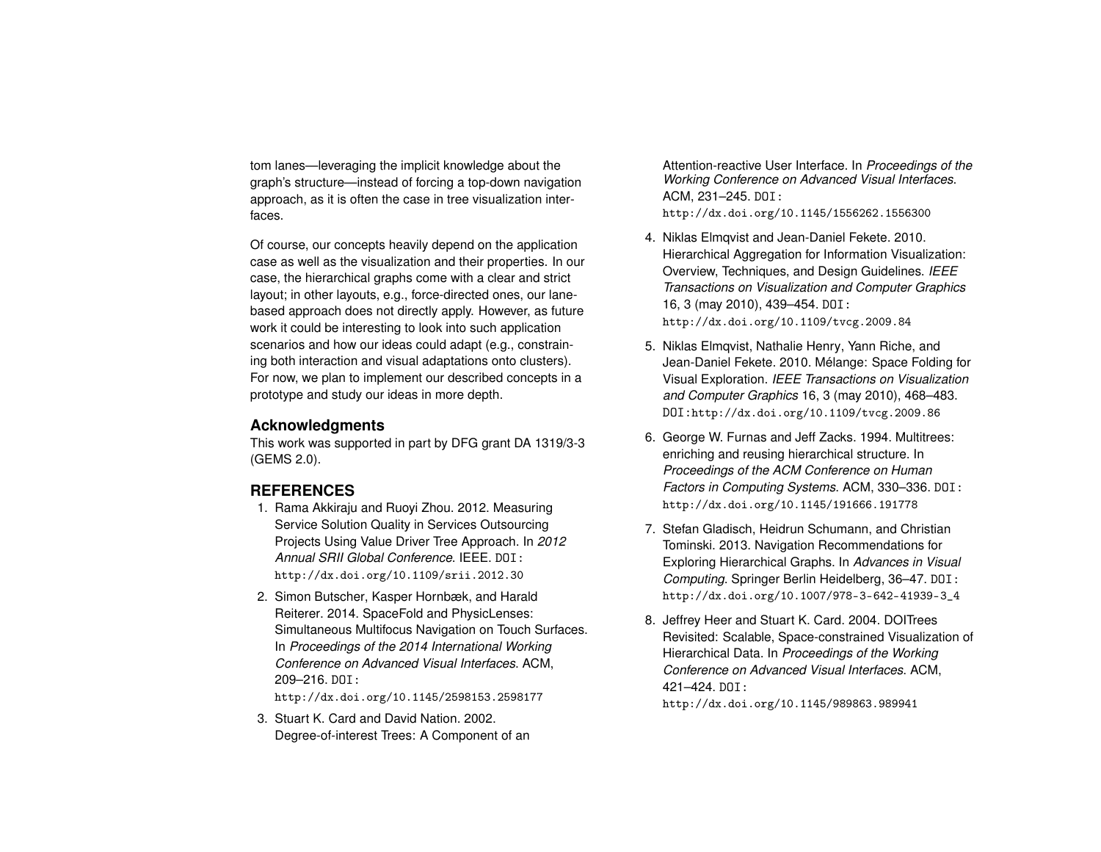tom lanes—leveraging the implicit knowledge about the graph's structure—instead of forcing a top-down navigation approach, as it is often the case in tree visualization interfaces.

Of course, our concepts heavily depend on the application case as well as the visualization and their properties. In our case, the hierarchical graphs come with a clear and strict layout; in other layouts, e.g., force-directed ones, our lanebased approach does not directly apply. However, as future work it could be interesting to look into such application scenarios and how our ideas could adapt (e.g., constraining both interaction and visual adaptations onto clusters). For now, we plan to implement our described concepts in a prototype and study our ideas in more depth.

#### **Acknowledgments**

This work was supported in part by DFG grant DA 1319/3-3 (GEMS 2.0).

## **REFERENCES**

- <span id="page-5-1"></span>1. Rama Akkiraju and Ruoyi Zhou. 2012. Measuring Service Solution Quality in Services Outsourcing Projects Using Value Driver Tree Approach. In *2012 Annual SRII Global Conference*. IEEE. DOI: <http://dx.doi.org/10.1109/srii.2012.30>
- <span id="page-5-7"></span>2. Simon Butscher, Kasper Hornbæk, and Harald Reiterer. 2014. SpaceFold and PhysicLenses: Simultaneous Multifocus Navigation on Touch Surfaces. In *Proceedings of the 2014 International Working Conference on Advanced Visual Interfaces*. ACM, 209–216. DOI:

<http://dx.doi.org/10.1145/2598153.2598177>

<span id="page-5-3"></span>3. Stuart K. Card and David Nation. 2002. Degree-of-interest Trees: A Component of an Attention-reactive User Interface. In *Proceedings of the Working Conference on Advanced Visual Interfaces*. ACM, 231–245. DOI: <http://dx.doi.org/10.1145/1556262.1556300>

- <span id="page-5-2"></span>4. Niklas Elmqvist and Jean-Daniel Fekete. 2010. Hierarchical Aggregation for Information Visualization: Overview, Techniques, and Design Guidelines. *IEEE Transactions on Visualization and Computer Graphics* 16, 3 (may 2010), 439–454. DOI: <http://dx.doi.org/10.1109/tvcg.2009.84>
- <span id="page-5-6"></span>5. Niklas Elmqvist, Nathalie Henry, Yann Riche, and Jean-Daniel Fekete. 2010. Mélange: Space Folding for Visual Exploration. *IEEE Transactions on Visualization and Computer Graphics* 16, 3 (may 2010), 468–483. DOI:<http://dx.doi.org/10.1109/tvcg.2009.86>
- <span id="page-5-0"></span>6. George W. Furnas and Jeff Zacks. 1994. Multitrees: enriching and reusing hierarchical structure. In *Proceedings of the ACM Conference on Human Factors in Computing Systems*. ACM, 330–336. DOI: <http://dx.doi.org/10.1145/191666.191778>
- <span id="page-5-5"></span>7. Stefan Gladisch, Heidrun Schumann, and Christian Tominski. 2013. Navigation Recommendations for Exploring Hierarchical Graphs. In *Advances in Visual Computing*. Springer Berlin Heidelberg, 36–47. DOI: [http://dx.doi.org/10.1007/978-3-642-41939-3\\_4](http://dx.doi.org/10.1007/978-3-642-41939-3_4)
- <span id="page-5-4"></span>8. Jeffrey Heer and Stuart K. Card. 2004. DOITrees Revisited: Scalable, Space-constrained Visualization of Hierarchical Data. In *Proceedings of the Working Conference on Advanced Visual Interfaces*. ACM, 421–424. DOI:

<http://dx.doi.org/10.1145/989863.989941>